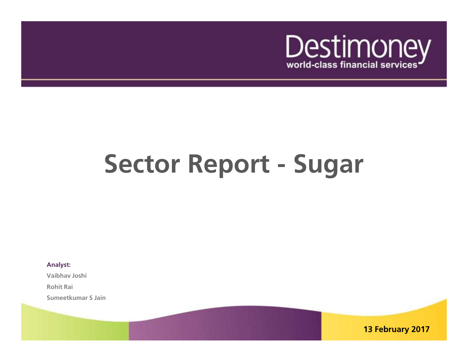

# **Sector Report - Sugar**

**Analyst:**

**Vaibhav Joshi**

**Rohit Rai**

**Sumeetkumar S Jain**

**13 February 2017**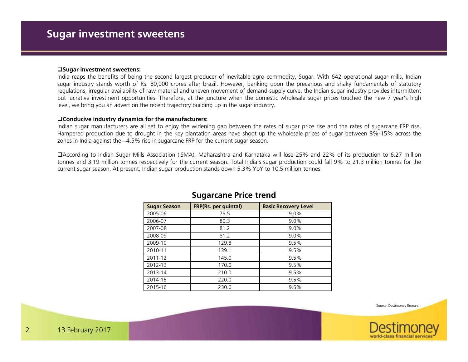### **Sugar investment sweetens:**

 India reaps the benefits of being the second largest producer of inevitable agro commodity, Sugar. With <sup>642</sup> operational sugar mills, Indian sugar industry stands worth of Rs. 80,000 crores after brazil. However, banking upon the precarious and shaky fundamentals of statutory regulations, irregular availability of raw material and uneven movement of demand-supply curve, the Indian sugar industry provides intermittent but lucrative investment opportunities. Therefore, at the juncture when the domestic wholesale sugar prices touched the new <sup>7</sup> year's highlevel, we bring you an advert on the recent trajectory building up in the sugar industry.

### **Conducive industry dynamics for the manufacturers:**

 Indian sugar manufacturers are all set to enjoy the widening gap between the rates of sugar price rise and the rates of sugarcane FRP rise. Hampered production due to drought in the key plantation areas have shoot up the wholesale prices of sugar between 8%-15% across thezones in India against the ~4.5% rise in sugarcane FRP for the current sugar season.

According to Indian Sugar Mills Association (ISMA), Maharashtra and Karnataka will lose 25% and 22% of its production to 6.27 million tonnes and 3.19 million tonnes respectively for the current season. Total India's sugar production could fall 9% to 21.3 million tonnes for the current sugar season. At present, Indian sugar production stands down 5.3% YoY to 10.5 million tonnes

| <b>Sugar Season</b> | <b>FRP(Rs. per quintal)</b> | <b>Basic Recovery Level</b> |
|---------------------|-----------------------------|-----------------------------|
| 2005-06             | 79.5                        | 9.0%                        |
| 2006-07             | 80.3                        | 9.0%                        |
| 2007-08             | 81.2                        | 9.0%                        |
| 2008-09             | 81.2                        | 9.0%                        |
| 2009-10             | 129.8                       | 9.5%                        |
| 2010-11             | 139.1                       | 9.5%                        |
| 2011-12             | 145.0                       | 9.5%                        |
| 2012-13             | 170.0                       | 9.5%                        |
| 2013-14             | 210.0                       | 9.5%                        |
| 2014-15             | 220.0                       | 9.5%                        |
| 2015-16             | 230.0                       | 9.5%                        |

### **Sugarcane Price trend**

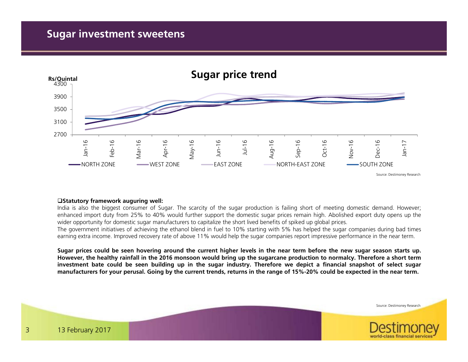## **Sugar investment sweetens**



### **Statutory framework auguring well:**

 India is also the biggest consumer of Sugar. The scarcity of the sugar production is failing short of meeting domestic demand. However; enhanced import duty from 25% to 40% would further support the domestic sugar prices remain high. Abolished export duty opens up thewider opportunity for domestic sugar manufacturers to capitalize the short lived benefits of spiked up global prices.

The government initiatives of achieving the ethanol blend in fuel to 10% starting with 5% has helped the sugar companies during bad timesearning extra income. Improved recovery rate of above 11% would help the sugar companies report impressive performance in the near term.

Sugar prices could be seen hovering around the current higher levels in the near term before the new sugar season starts up. However, the healthy rainfall in the 2016 monsoon would bring up the sugarcane production to normalcy. Therefore a short term investment bate could be seen building up in the sugar industry. Therefore we depict a financial snapshot of select sugar manufacturers for your perusal. Going by the current trends, returns in the range of 15%-20% could be expected in the near term.

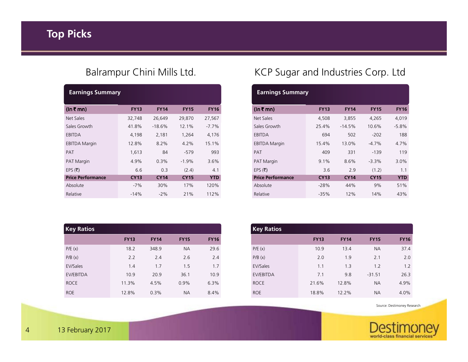| <b>Earnings Summary</b>  |             |             |             |             |
|--------------------------|-------------|-------------|-------------|-------------|
| $(ln \bar{z}$ mn)        | <b>FY13</b> | <b>FY14</b> | <b>FY15</b> | <b>FY16</b> |
| Net Sales                | 32,748      | 26,649      | 29,870      | 27,567      |
| Sales Growth             | 41.8%       | $-18.6%$    | 12.1%       | $-7.7\%$    |
| EBITDA                   | 4,198       | 2,181       | 1,264       | 4,176       |
| <b>EBITDA Margin</b>     | 12.8%       | 8.2%        | 4.2%        | 15.1%       |
| <b>PAT</b>               | 1,613       | 84          | $-579$      | 993         |
| <b>PAT Margin</b>        | 4.9%        | 0.3%        | $-1.9%$     | $3.6\%$     |
| EPS $(\bar{\tau})$       | 6.6         | 0.3         | (2.4)       | 4.1         |
| <b>Price Performance</b> | <b>CY13</b> | <b>CY14</b> | <b>CY15</b> | <b>YTD</b>  |
| Absolute                 | $-7%$       | 30%         | 17%         | 120%        |
| Relative                 | $-14%$      | $-2%$       | 21%         | 112%        |
|                          |             |             |             |             |

| <b>Key Ratios</b> |             |             |             |             |
|-------------------|-------------|-------------|-------------|-------------|
|                   | <b>FY13</b> | <b>FY14</b> | <b>FY15</b> | <b>FY16</b> |
| P/E(x)            | 18.2        | 348.9       | <b>NA</b>   | 29.6        |
| P/B(x)            | 2.2         | 2.4         | 2.6         | 2.4         |
| EV/Sales          | 1.4         | 1.7         | 1.5         | 1.7         |
| EV/EBITDA         | 10.9        | 20.9        | 36.1        | 10.9        |
| <b>ROCE</b>       | 11.3%       | 4.5%        | 0.9%        | 6.3%        |
| <b>ROE</b>        | 12.8%       | 0.3%        | <b>NA</b>   | 8.4%        |

# Balrampur Chini Mills Ltd. KCP Sugar and Industries Corp. Ltd

| <b>Earnings Summary</b>  |             |             |             |             |
|--------------------------|-------------|-------------|-------------|-------------|
| (In ₹ mn)                | <b>FY13</b> | <b>FY14</b> | <b>FY15</b> | <b>FY16</b> |
| Net Sales                | 4,508       | 3,855       | 4,265       | 4,019       |
| Sales Growth             | 25.4%       | $-14.5%$    | 10.6%       | $-5.8%$     |
| EBITDA                   | 694         | 502         | $-202$      | 188         |
| <b>EBITDA Margin</b>     | 15.4%       | 13.0%       | $-4.7\%$    | 4.7%        |
| PAT                      | 409         | 331         | $-139$      | 119         |
| <b>PAT Margin</b>        | $9.1\%$     | 8.6%        | $-3.3\%$    | $3.0\%$     |
| EPS $(\bar{\tau})$       | 3.6         | 2.9         | (1.2)       | 1.1         |
| <b>Price Performance</b> | <b>CY13</b> | <b>CY14</b> | <b>CY15</b> | <b>YTD</b>  |
| Absolute                 | $-28%$      | 44%         | 9%          | 51%         |
| Relative                 | $-35%$      | 12%         | 14%         | 43%         |
|                          |             |             |             |             |

| <b>Key Ratios</b> |             |             |             |             |
|-------------------|-------------|-------------|-------------|-------------|
|                   | <b>FY13</b> | <b>FY14</b> | <b>FY15</b> | <b>FY16</b> |
| P/E(x)            | 10.9        | 13.4        | NA.         | 37.4        |
| P/B(x)            | 2.0         | 1.9         | 2.1         | 2.0         |
| EV/Sales          | 1.1         | 1.3         | 1.2         | 1.2         |
| EV/EBITDA         | 7.1         | 9.8         | $-31.51$    | 26.3        |
| <b>ROCE</b>       | 21.6%       | 12.8%       | NA.         | 4.9%        |
| <b>ROE</b>        | 18.8%       | 12.2%       | <b>NA</b>   | 4.0%        |

Source: Destimoney Research

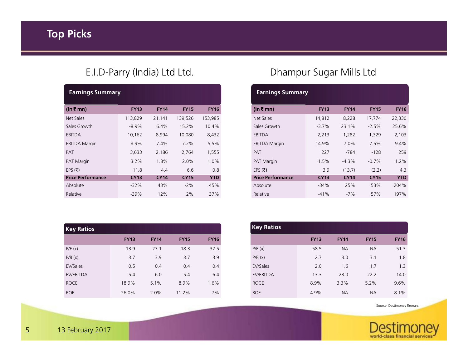# E.I.D-Parry (India) Ltd Ltd.

| <b>Earnings Summary</b>  |             |             |             |             |
|--------------------------|-------------|-------------|-------------|-------------|
| (In ₹ mn)                | <b>FY13</b> | <b>FY14</b> | <b>FY15</b> | <b>FY16</b> |
| Net Sales                | 113,829     | 121,141     | 139,526     | 153,985     |
| Sales Growth             | $-8.9\%$    | 6.4%        | 15.2%       | 10.4%       |
| EBITDA                   | 10,162      | 8,994       | 10,080      | 8,432       |
| <b>EBITDA Margin</b>     | 8.9%        | 7.4%        | 7.2%        | 5.5%        |
| <b>PAT</b>               | 3,633       | 2,186       | 2,764       | 1,555       |
| <b>PAT Margin</b>        | 3.2%        | 1.8%        | 2.0%        | 1.0%        |
| EPS $(\bar{\tau})$       | 11.8        | 4.4         | 6.6         | 0.8         |
| <b>Price Performance</b> | <b>CY13</b> | <b>CY14</b> | <b>CY15</b> | <b>YTD</b>  |
| Absolute                 | $-32%$      | 43%         | $-2\%$      | 45%         |
| Relative                 | $-39%$      | 12%         | 2%          | 37%         |
|                          |             |             |             |             |

| <b>Key Ratios</b> |             |             |             |             |
|-------------------|-------------|-------------|-------------|-------------|
|                   | <b>FY13</b> | <b>FY14</b> | <b>FY15</b> | <b>FY16</b> |
| P/E(x)            | 13.9        | 23.1        | 18.3        | 32.5        |
| P/B(x)            | 3.7         | 3.9         | 3.7         | 3.9         |
| EV/Sales          | 0.5         | 0.4         | 0.4         | 0.4         |
| EV/EBITDA         | 5.4         | 6.0         | 5.4         | 6.4         |
| <b>ROCE</b>       | 18.9%       | 5.1%        | 8.9%        | 1.6%        |
| <b>ROE</b>        | 26.0%       | 2.0%        | 11.2%       | 7%          |

# Dhampur Sugar Mills Ltd

| <b>Earnings Summary</b>  |             |             |             |             |  |  |  |  |  |  |
|--------------------------|-------------|-------------|-------------|-------------|--|--|--|--|--|--|
| (ln ₹ mn)                | <b>FY13</b> | <b>FY14</b> | <b>FY15</b> | <b>FY16</b> |  |  |  |  |  |  |
| Net Sales                | 14,812      | 18,228      | 17,774      | 22,330      |  |  |  |  |  |  |
| Sales Growth             | $-3.7%$     | 23.1%       | $-2.5%$     | 25.6%       |  |  |  |  |  |  |
| EBITDA                   | 2,213       | 1,282       | 1,329       | 2,103       |  |  |  |  |  |  |
| <b>EBITDA Margin</b>     | 14.9%       | 7.0%        | 7.5%        | 9.4%        |  |  |  |  |  |  |
| PAT                      | 227         | -784        | $-128$      | 259         |  |  |  |  |  |  |
| <b>PAT Margin</b>        | 1.5%        | $-4.3%$     | $-0.7%$     | 1.2%        |  |  |  |  |  |  |
| EPS (₹)                  | 3.9         | (13.7)      | (2.2)       | 4.3         |  |  |  |  |  |  |
| <b>Price Performance</b> | <b>CY13</b> | <b>CY14</b> | <b>CY15</b> | <b>YTD</b>  |  |  |  |  |  |  |
| Absolute                 | $-34%$      | 25%         | 53%         | 204%        |  |  |  |  |  |  |
| Relative                 | $-41%$      | $-7%$       | 57%         | 197%        |  |  |  |  |  |  |

| <b>Key Ratios</b> |             |             |             |             |  |  |  |  |  |
|-------------------|-------------|-------------|-------------|-------------|--|--|--|--|--|
|                   | <b>FY13</b> | <b>FY14</b> | <b>FY15</b> | <b>FY16</b> |  |  |  |  |  |
| P/E(x)            | 58.5        | <b>NA</b>   | <b>NA</b>   | 51.3        |  |  |  |  |  |
| P/B(x)            | 2.7         | 3.0         | 3.1         | 1.8         |  |  |  |  |  |
| EV/Sales          | 2.0         | 1.6         | 1.7         | 1.3         |  |  |  |  |  |
| EV/EBITDA         | 13.3        | 23.0        | 22.2        | 14.0        |  |  |  |  |  |
| <b>ROCE</b>       | 8.9%        | 3.3%        | 5.2%        | 9.6%        |  |  |  |  |  |
| <b>ROE</b>        | 4.9%        | <b>NA</b>   | <b>NA</b>   | 8.1%        |  |  |  |  |  |

Source: Destimoney Research

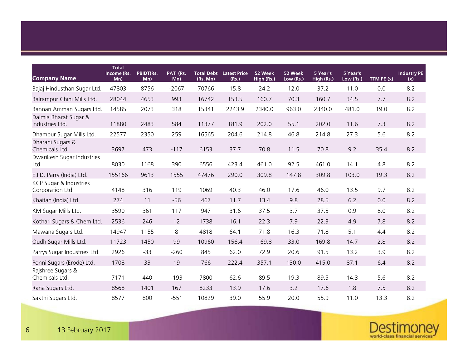|                                            | <b>Total</b>       |                         |                 |          |                                         |                       |                      |                        |                       |              |                           |
|--------------------------------------------|--------------------|-------------------------|-----------------|----------|-----------------------------------------|-----------------------|----------------------|------------------------|-----------------------|--------------|---------------------------|
| <b>Company Name</b>                        | Income (Rs.<br>Mn) | <b>PBIDT(Rs.</b><br>Mn) | PAT (Rs.<br>Mn) | (Rs. Mn) | <b>Total Debt Latest Price</b><br>(Rs.) | 52 Week<br>High (Rs.) | 52 Week<br>Low (Rs.) | 5 Year's<br>High (Rs.) | 5 Year's<br>Low (Rs.) | TTM PE $(x)$ | <b>Industry PE</b><br>(x) |
| Bajaj Hindusthan Sugar Ltd.                | 47803              | 8756                    | $-2067$         | 70766    | 15.8                                    | 24.2                  | 12.0                 | 37.2                   | 11.0                  | 0.0          | 8.2                       |
| Balrampur Chini Mills Ltd.                 | 28044              | 4653                    | 993             | 16742    | 153.5                                   | 160.7                 | 70.3                 | 160.7                  | 34.5                  | 7.7          | 8.2                       |
| Bannari Amman Sugars Ltd.                  | 14585              | 2073                    | 318             | 15341    | 2243.9                                  | 2340.0                | 963.0                | 2340.0                 | 481.0                 | 19.0         | 8.2                       |
| Dalmia Bharat Sugar &<br>Industries Ltd.   | 11880              | 2483                    | 584             | 11377    | 181.9                                   | 202.0                 | 55.1                 | 202.0                  | 11.6                  | 7.3          | 8.2                       |
| Dhampur Sugar Mills Ltd.                   | 22577              | 2350                    | 259             | 16565    | 204.6                                   | 214.8                 | 46.8                 | 214.8                  | 27.3                  | 5.6          | 8.2                       |
| Dharani Sugars &<br>Chemicals Ltd.         | 3697               | 473                     | $-117$          | 6153     | 37.7                                    | 70.8                  | 11.5                 | 70.8                   | 9.2                   | 35.4         | 8.2                       |
| Dwarikesh Sugar Industries<br>Ltd.         | 8030               | 1168                    | 390             | 6556     | 423.4                                   | 461.0                 | 92.5                 | 461.0                  | 14.1                  | 4.8          | 8.2                       |
| E.I.D. Parry (India) Ltd.                  | 155166             | 9613                    | 1555            | 47476    | 290.0                                   | 309.8                 | 147.8                | 309.8                  | 103.0                 | 19.3         | 8.2                       |
| KCP Sugar & Industries<br>Corporation Ltd. | 4148               | 316                     | 119             | 1069     | 40.3                                    | 46.0                  | 17.6                 | 46.0                   | 13.5                  | 9.7          | 8.2                       |
| Khaitan (India) Ltd.                       | 274                | 11                      | $-56$           | 467      | 11.7                                    | 13.4                  | 9.8                  | 28.5                   | 6.2                   | 0.0          | 8.2                       |
| KM Sugar Mills Ltd.                        | 3590               | 361                     | 117             | 947      | 31.6                                    | 37.5                  | 3.7                  | 37.5                   | 0.9                   | 8.0          | 8.2                       |
| Kothari Sugars & Chem Ltd.                 | 2536               | 246                     | 12              | 1738     | 16.1                                    | 22.3                  | 7.9                  | 22.3                   | 4.9                   | 7.8          | 8.2                       |
| Mawana Sugars Ltd.                         | 14947              | 1155                    | 8               | 4818     | 64.1                                    | 71.8                  | 16.3                 | 71.8                   | 5.1                   | 4.4          | 8.2                       |
| Oudh Sugar Mills Ltd.                      | 11723              | 1450                    | 99              | 10960    | 156.4                                   | 169.8                 | 33.0                 | 169.8                  | 14.7                  | 2.8          | 8.2                       |
| Parrys Sugar Industries Ltd.               | 2926               | $-33$                   | $-260$          | 845      | 62.0                                    | 72.9                  | 20.6                 | 91.5                   | 13.2                  | 3.9          | 8.2                       |
| Ponni Sugars (Erode) Ltd.                  | 1708               | 33                      | 19              | 766      | 222.4                                   | 357.1                 | 130.0                | 415.0                  | 87.1                  | 6.4          | 8.2                       |
| Rajshree Sugars &<br>Chemicals Ltd.        | 7171               | 440                     | $-193$          | 7800     | 62.6                                    | 89.5                  | 19.3                 | 89.5                   | 14.3                  | 5.6          | 8.2                       |
| Rana Sugars Ltd.                           | 8568               | 1401                    | 167             | 8233     | 13.9                                    | 17.6                  | 3.2                  | 17.6                   | 1.8                   | 7.5          | 8.2                       |
| Sakthi Sugars Ltd.                         | 8577               | 800                     | $-551$          | 10829    | 39.0                                    | 55.9                  | 20.0                 | 55.9                   | 11.0                  | 13.3         | 8.2                       |

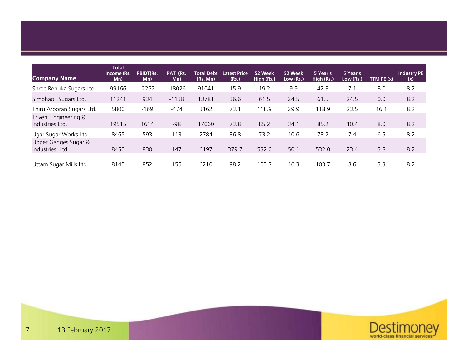| <b>Company Name</b>                      | <b>Total</b><br>Income (Rs.<br>Mn) | PBIDT(Rs.<br>Mn) | PAT (Rs.<br>Mn) | <b>Total Debt</b><br>(Rs. Mn) | <b>Latest Price</b><br>(Rs.) | 52 Week<br>High (Rs.) | 52 Week<br>Low (Rs.) | 5 Year's<br>High (Rs.) | 5 Year's<br>Low (Rs.) | TTM $PE(x)$ | <b>Industry PE</b><br>(x) |
|------------------------------------------|------------------------------------|------------------|-----------------|-------------------------------|------------------------------|-----------------------|----------------------|------------------------|-----------------------|-------------|---------------------------|
| Shree Renuka Sugars Ltd.                 | 99166                              | $-2252$          | $-18026$        | 91041                         | 15.9                         | 19.2                  | 9.9                  | 42.3                   | 7.1                   | 8.0         | 8.2                       |
| Simbhaoli Sugars Ltd.                    | 11241                              | 934              | $-1138$         | 13781                         | 36.6                         | 61.5                  | 24.5                 | 61.5                   | 24.5                  | 0.0         | 8.2                       |
| Thiru Arooran Sugars Ltd.                | 5800                               | $-169$           | $-474$          | 3162                          | 73.1                         | 118.9                 | 29.9                 | 118.9                  | 23.5                  | 16.1        | 8.2                       |
| Triveni Engineering &<br>Industries Ltd. | 19515                              | 1614             | $-98$           | 17060                         | 73.8                         | 85.2                  | 34.1                 | 85.2                   | 10.4                  | 8.0         | 8.2                       |
| Ugar Sugar Works Ltd.                    | 8465                               | 593              | 113             | 2784                          | 36.8                         | 73.2                  | 10.6                 | 73.2                   | 7.4                   | 6.5         | 8.2                       |
| Upper Ganges Sugar &<br>Industries Ltd.  | 8450                               | 830              | 147             | 6197                          | 379.7                        | 532.0                 | 50.1                 | 532.0                  | 23.4                  | 3.8         | 8.2                       |
| Uttam Sugar Mills Ltd.                   | 8145                               | 852              | 155             | 6210                          | 98.2                         | 103.7                 | 16.3                 | 103.7                  | 8.6                   | 3.3         | 8.2                       |